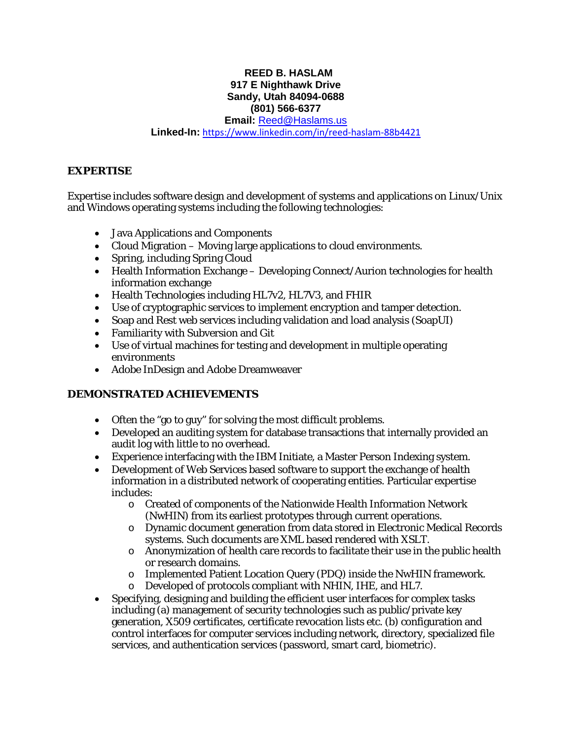## **REED B. HASLAM 917 E Nighthawk Drive Sandy, Utah 84094-0688 (801) 566-6377**

**Email:** [Reed@Haslams.us](mailto:Reed@Haslams.us)

#### **Linked-In:** [https://www.linkedin.com/in/reed-haslam-88b4421](https://www.linkedin.com/in/reed-haslam-88b4421/)

#### **EXPERTISE**

Expertise includes software design and development of systems and applications on Linux/Unix and Windows operating systems including the following technologies:

- Java Applications and Components
- Cloud Migration Moving large applications to cloud environments.
- Spring, including Spring Cloud
- Health Information Exchange Developing Connect/Aurion technologies for health information exchange
- Health Technologies including HL7v2, HL7V3, and FHIR
- Use of cryptographic services to implement encryption and tamper detection.
- Soap and Rest web services including validation and load analysis (SoapUI)
- Familiarity with Subversion and Git
- Use of virtual machines for testing and development in multiple operating environments
- Adobe InDesign and Adobe Dreamweaver

# **DEMONSTRATED ACHIEVEMENTS**

- Often the "go to guy" for solving the most difficult problems.
- Developed an auditing system for database transactions that internally provided an audit log with little to no overhead.
- Experience interfacing with the IBM Initiate, a Master Person Indexing system.
- Development of Web Services based software to support the exchange of health information in a distributed network of cooperating entities. Particular expertise includes:
	- o Created of components of the Nationwide Health Information Network (NwHIN) from its earliest prototypes through current operations.
	- o Dynamic document generation from data stored in Electronic Medical Records systems. Such documents are XML based rendered with XSLT.
	- o Anonymization of health care records to facilitate their use in the public health or research domains.
	- o Implemented Patient Location Query (PDQ) inside the NwHIN framework.
	- Developed of protocols compliant with NHIN, IHE, and HL7.
- Specifying, designing and building the efficient user interfaces for complex tasks including (a) management of security technologies such as public/private key generation, X509 certificates, certificate revocation lists etc. (b) configuration and control interfaces for computer services including network, directory, specialized file services, and authentication services (password, smart card, biometric).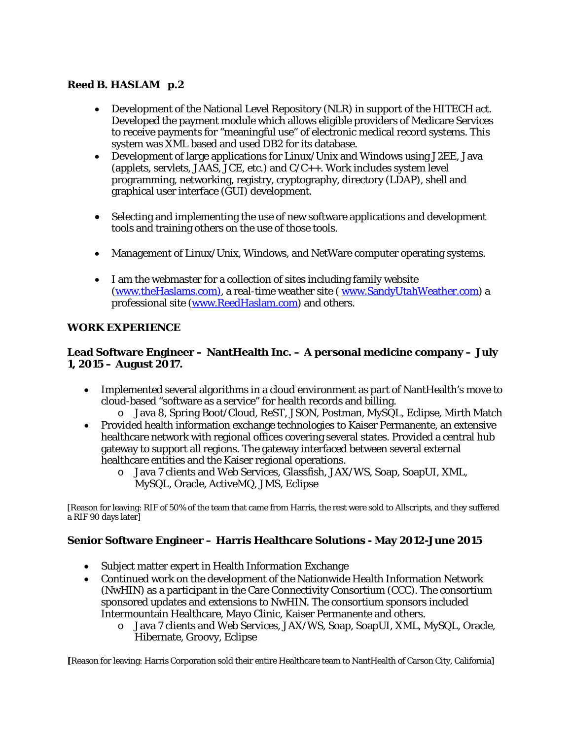# **Reed B. HASLAM p.2**

- Development of the National Level Repository (NLR) in support of the HITECH act. Developed the payment module which allows eligible providers of Medicare Services to receive payments for "meaningful use" of electronic medical record systems. This system was XML based and used DB2 for its database.
- Development of large applications for Linux/Unix and Windows using J2EE, Java (applets, servlets, JAAS, JCE, etc.) and C/C++. Work includes system level programming, networking, registry, cryptography, directory (LDAP), shell and graphical user interface (GUI) development.
- Selecting and implementing the use of new software applications and development tools and training others on the use of those tools.
- Management of Linux/Unix, Windows, and NetWare computer operating systems.
- I am the webmaster for a collection of sites including family website [\(www.theHaslams.com\)](http://www.thehaslams.com/), a real-time weather site [\( www.SandyUtahWeather.com\)](http://www.sandyutahweather.com/) a professional site [\(www.ReedHaslam.com\)](http://www.reedhaslam.com/) and others.

## **WORK EXPERIENCE**

## **Lead Software Engineer – NantHealth Inc. – A personal medicine company – July 1, 2015 – August 2017.**

- Implemented several algorithms in a cloud environment as part of NantHealth's move to cloud-based "software as a service" for health records and billing.
	- o Java 8, Spring Boot/Cloud, ReST, JSON, Postman, MySQL, Eclipse, Mirth Match
- Provided health information exchange technologies to Kaiser Permanente, an extensive healthcare network with regional offices covering several states. Provided a central hub gateway to support all regions. The gateway interfaced between several external healthcare entities and the Kaiser regional operations.
	- o Java 7 clients and Web Services, Glassfish, JAX/WS, Soap, SoapUI, XML, MySQL, Oracle, ActiveMQ, JMS, Eclipse

[Reason for leaving: RIF of 50% of the team that came from Harris, the rest were sold to Allscripts, and they suffered a RIF 90 days later]

### **Senior Software Engineer – Harris Healthcare Solutions - May 2012-June 2015**

- Subject matter expert in Health Information Exchange
- Continued work on the development of the Nationwide Health Information Network (NwHIN) as a participant in the Care Connectivity Consortium (CCC). The consortium sponsored updates and extensions to NwHIN. The consortium sponsors included Intermountain Healthcare, Mayo Clinic, Kaiser Permanente and others.
	- o Java 7 clients and Web Services, JAX/WS, Soap, SoapUI, XML, MySQL, Oracle, Hibernate, Groovy, Eclipse

**[**Reason for leaving: Harris Corporation sold their entire Healthcare team to NantHealth of Carson City, California]